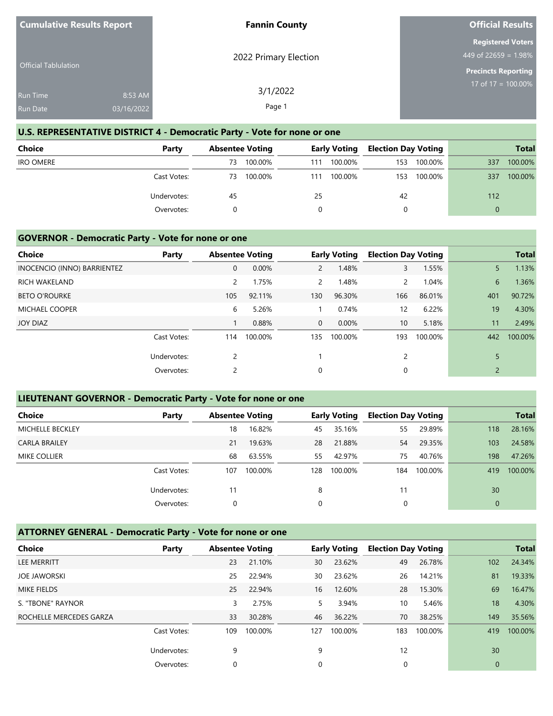| <b>Cumulative Results Report</b> |            | <b>Fannin County</b>  | <b>Official Results</b>                          |
|----------------------------------|------------|-----------------------|--------------------------------------------------|
|                                  |            | 2022 Primary Election | <b>Registered Voters</b><br>449 of 22659 = 1.98% |
| <b>Official Tablulation</b>      |            |                       | <b>Precincts Reporting</b>                       |
| <b>Run Time</b>                  | 8:53 AM    | 3/1/2022              | 17 of $17 = 100.00\%$                            |
| <b>Run Date</b>                  | 03/16/2022 | Page 1                |                                                  |

## **U.S. REPRESENTATIVE DISTRICT 4 - Democratic Party - Vote for none or one**

| <b>Choice</b>    | Party       | <b>Absentee Voting</b> |     | <b>Early Voting</b> | <b>Election Day Voting</b> |         |          | <b>Total</b> |
|------------------|-------------|------------------------|-----|---------------------|----------------------------|---------|----------|--------------|
| <b>IRO OMERE</b> |             | 100.00%<br>73          | 111 | 100.00%             | 153                        | 100.00% | 337      | 100.00%      |
|                  | Cast Votes: | 100.00%<br>73          | 111 | 100.00%             | 153                        | 100.00% | 337      | 100.00%      |
|                  | Undervotes: | 45                     | 25  |                     | 42                         |         | 112      |              |
|                  | Overvotes:  |                        |     |                     | 0                          |         | $\Omega$ |              |

#### **GOVERNOR - Democratic Party - Vote for none or one**

|                             |             |                        |         |                |                     |                            |         |                | <b>Total</b> |
|-----------------------------|-------------|------------------------|---------|----------------|---------------------|----------------------------|---------|----------------|--------------|
| Choice                      | Party       | <b>Absentee Voting</b> |         |                | <b>Early Voting</b> | <b>Election Day Voting</b> |         |                |              |
| INOCENCIO (INNO) BARRIENTEZ |             | 0                      | 0.00%   | $\overline{2}$ | 1.48%               | 3                          | 1.55%   | 5              | 1.13%        |
| <b>RICH WAKELAND</b>        |             | 2                      | 1.75%   | $\mathbf{2}$   | 1.48%               | $\mathbf{2}$               | 1.04%   | 6              | 1.36%        |
| <b>BETO O'ROURKE</b>        |             | 105                    | 92.11%  | 130            | 96.30%              | 166                        | 86.01%  | 401            | 90.72%       |
| <b>MICHAEL COOPER</b>       |             | 6                      | 5.26%   |                | 0.74%               | $12 \overline{ }$          | 6.22%   | 19             | 4.30%        |
| JOY DIAZ                    |             |                        | 0.88%   | $\overline{0}$ | $0.00\%$            | 10 <sup>°</sup>            | 5.18%   | 11             | 2.49%        |
|                             | Cast Votes: | 114                    | 100.00% | 135            | 100.00%             | 193                        | 100.00% | 442            | 100.00%      |
|                             | Undervotes: | 2                      |         |                |                     | 2                          |         |                |              |
|                             | Overvotes:  | 2                      |         | $\Omega$       |                     | 0                          |         | $\overline{2}$ |              |

### **LIEUTENANT GOVERNOR - Democratic Party - Vote for none or one**

| <b>Choice</b>           | Party       | <b>Absentee Voting</b> |         |     | <b>Early Voting</b> | <b>Election Day Voting</b> |         |              | <b>Total</b> |
|-------------------------|-------------|------------------------|---------|-----|---------------------|----------------------------|---------|--------------|--------------|
| <b>MICHELLE BECKLEY</b> |             | 18                     | 16.82%  | 45  | 35.16%              | 55                         | 29.89%  | 118          | 28.16%       |
| <b>CARLA BRAILEY</b>    |             | 21                     | 19.63%  | 28  | 21.88%              | 54                         | 29.35%  | 103          | 24.58%       |
| <b>MIKE COLLIER</b>     |             | 68                     | 63.55%  | 55  | 42.97%              | 75                         | 40.76%  | 198          | 47.26%       |
|                         | Cast Votes: | 107                    | 100.00% | 128 | 100.00%             | 184                        | 100.00% | 419          | 100.00%      |
|                         | Undervotes: | 11                     |         | 8   |                     | 11                         |         | 30           |              |
|                         | Overvotes:  | 0                      |         | 0   |                     | 0                          |         | $\mathbf{0}$ |              |

# **ATTORNEY GENERAL - Democratic Party - Vote for none or one**

| <b>Choice</b>           | Party       | <b>Absentee Voting</b> |         |     | <b>Early Voting</b> | <b>Election Day Voting</b> |         |              | <b>Total</b> |
|-------------------------|-------------|------------------------|---------|-----|---------------------|----------------------------|---------|--------------|--------------|
| <b>LEE MERRITT</b>      |             | 23                     | 21.10%  | 30  | 23.62%              | 49                         | 26.78%  | 102          | 24.34%       |
| <b>JOE JAWORSKI</b>     |             | 25                     | 22.94%  | 30  | 23.62%              | 26                         | 14.21%  | 81           | 19.33%       |
| <b>MIKE FIELDS</b>      |             | 25                     | 22.94%  | 16  | 12.60%              | 28                         | 15.30%  | 69           | 16.47%       |
| S. "TBONE" RAYNOR       |             | 3                      | 2.75%   | 5.  | 3.94%               | 10                         | 5.46%   | 18           | 4.30%        |
| ROCHELLE MERCEDES GARZA |             | 33                     | 30.28%  | 46  | 36.22%              | 70                         | 38.25%  | 149          | 35.56%       |
|                         | Cast Votes: | 109                    | 100.00% | 127 | 100.00%             | 183                        | 100.00% | 419          | 100.00%      |
|                         | Undervotes: | 9                      |         | 9   |                     | 12                         |         | 30           |              |
|                         | Overvotes:  | 0                      |         | 0   |                     | 0                          |         | $\mathbf{0}$ |              |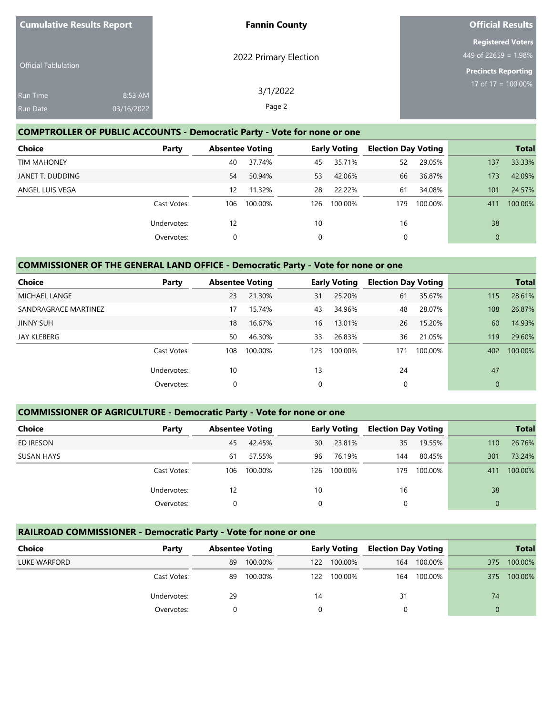| <b>Cumulative Results Report</b>   |                       | <b>Fannin County</b>  | <b>Official Results</b>                                                        |
|------------------------------------|-----------------------|-----------------------|--------------------------------------------------------------------------------|
| <b>Official Tablulation</b>        |                       | 2022 Primary Election | <b>Registered Voters</b><br>449 of 22659 = 1.98%<br><b>Precincts Reporting</b> |
| <b>Run Time</b><br><b>Run Date</b> | 8:53 AM<br>03/16/2022 | 3/1/2022<br>Page 2    | $17$ of 17 = 100.00%                                                           |

### **COMPTROLLER OF PUBLIC ACCOUNTS - Democratic Party - Vote for none or one**

| <b>Choice</b>      | Party       | <b>Absentee Voting</b> |         |     | <b>Early Voting</b> | <b>Election Day Voting</b> |         |              | <b>Total</b> |
|--------------------|-------------|------------------------|---------|-----|---------------------|----------------------------|---------|--------------|--------------|
| <b>TIM MAHONEY</b> |             | 40                     | 37.74%  | 45  | 35.71%              | 52                         | 29.05%  | 137          | 33.33%       |
| JANET T. DUDDING   |             | 54                     | 50.94%  | 53  | 42.06%              | 66                         | 36.87%  | 173          | 42.09%       |
| ANGEL LUIS VEGA    |             | 12                     | 11.32%  | 28  | 22.22%              | 61                         | 34.08%  | 101          | 24.57%       |
|                    | Cast Votes: | 106                    | 100.00% | 126 | 100.00%             | 179                        | 100.00% | 411          | 100.00%      |
|                    | Undervotes: | 12                     |         | 10  |                     | 16                         |         | 38           |              |
|                    | Overvotes:  | 0                      |         | 0   |                     | 0                          |         | $\mathbf{0}$ |              |

## **COMMISSIONER OF THE GENERAL LAND OFFICE - Democratic Party - Vote for none or one**

| <b>Choice</b>        | Party       | <b>Absentee Voting</b> |         |     | <b>Early Voting</b> | <b>Election Day Voting</b> |         |              | <b>Total</b> |
|----------------------|-------------|------------------------|---------|-----|---------------------|----------------------------|---------|--------------|--------------|
| <b>MICHAEL LANGE</b> |             | 23                     | 21.30%  | 31  | 25.20%              | 61                         | 35.67%  | 115          | 28.61%       |
| SANDRAGRACE MARTINEZ |             | 17                     | 15.74%  | 43  | 34.96%              | 48                         | 28.07%  | 108          | 26.87%       |
| <b>JINNY SUH</b>     |             | 18                     | 16.67%  | 16  | 13.01%              | 26                         | 15.20%  | 60           | 14.93%       |
| JAY KLEBERG          |             | 50                     | 46.30%  | 33  | 26.83%              | 36                         | 21.05%  | 119          | 29.60%       |
|                      | Cast Votes: | 108                    | 100.00% | 123 | 100.00%             | 171                        | 100.00% | 402          | 100.00%      |
|                      | Undervotes: | 10                     |         | 13  |                     | 24                         |         | 47           |              |
|                      | Overvotes:  | 0                      |         | 0   |                     | 0                          |         | $\mathbf{0}$ |              |

## **COMMISSIONER OF AGRICULTURE - Democratic Party - Vote for none or one**

| Choice            | Party       | <b>Absentee Voting</b> |         |     | <b>Early Voting</b> | <b>Election Day Voting</b> |         |          | <b>Total</b> |
|-------------------|-------------|------------------------|---------|-----|---------------------|----------------------------|---------|----------|--------------|
| ED IRESON         |             | 45                     | 42.45%  | 30  | 23.81%              | 35                         | 19.55%  | 110      | 26.76%       |
| <b>SUSAN HAYS</b> |             | 61                     | 57.55%  | 96  | 76.19%              | 144                        | 80.45%  | 301      | 73.24%       |
|                   | Cast Votes: | 106                    | 100.00% | 126 | 100.00%             | 179                        | 100.00% | 411      | 100.00%      |
|                   | Undervotes: | 12                     |         | 10  |                     | 16                         |         | 38       |              |
|                   | Overvotes:  |                        |         | 0   |                     | 0                          |         | $\Omega$ |              |

## **RAILROAD COMMISSIONER - Democratic Party - Vote for none or one**

| Choice       | Party       |    | <b>Absentee Voting</b> |     | <b>Early Voting</b> | <b>Election Day Voting</b> |         |     | <b>Total</b> |
|--------------|-------------|----|------------------------|-----|---------------------|----------------------------|---------|-----|--------------|
| LUKE WARFORD |             | 89 | 100.00%                | 122 | 100.00%             | 164                        | 100.00% | 375 | 100.00%      |
|              | Cast Votes: | 89 | 100.00%                | 122 | 100.00%             | 164                        | 100.00% | 375 | 100.00%      |
|              | Undervotes: | 29 |                        | 14  |                     | 31                         |         | 74  |              |
|              | Overvotes:  |    |                        |     |                     |                            |         |     |              |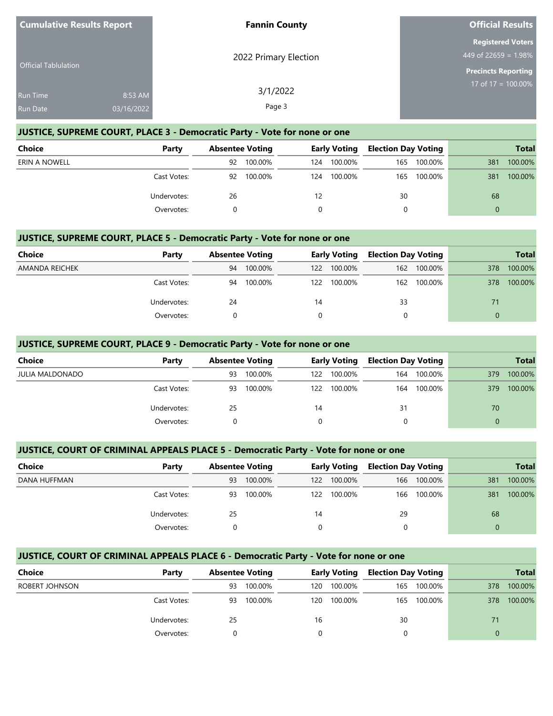| <b>Cumulative Results Report</b> |                       | <b>Fannin County</b>  | <b>Official Results</b>                                                           |
|----------------------------------|-----------------------|-----------------------|-----------------------------------------------------------------------------------|
| <b>Official Tablulation</b>      |                       | 2022 Primary Election | <b>Registered Voters</b><br>449 of 22659 = $1.98\%$<br><b>Precincts Reporting</b> |
| <b>Run Time</b><br>Run Date      | 8:53 AM<br>03/16/2022 | 3/1/2022<br>Page 3    | 17 of 17 = $\overline{100.00\%}$                                                  |

#### **JUSTICE, SUPREME COURT, PLACE 3 - Democratic Party - Vote for none or one**

| Choice        | Party       | <b>Absentee Voting</b> |         | Early Voting |         | <b>Election Day Voting</b> |         | <b>Total</b> |         |
|---------------|-------------|------------------------|---------|--------------|---------|----------------------------|---------|--------------|---------|
| ERIN A NOWELL |             | 92                     | 100.00% | 124          | 100.00% | 165                        | 100.00% | 381          | 100.00% |
|               | Cast Votes: | 92                     | 100.00% | 124          | 100.00% | 165                        | 100.00% | 381          | 100.00% |
|               | Undervotes: | 26                     |         | 12           |         | 30                         |         | 68           |         |
|               | Overvotes:  |                        |         |              |         |                            |         | $\Omega$     |         |

#### **JUSTICE, SUPREME COURT, PLACE 5 - Democratic Party - Vote for none or one**

| <b>Choice</b>  | Party       | <b>Absentee Voting</b> |         | <b>Early Voting</b> |             | <b>Election Day Voting</b> |             |          | <b>Total</b> |
|----------------|-------------|------------------------|---------|---------------------|-------------|----------------------------|-------------|----------|--------------|
| AMANDA REICHEK |             | 94                     | 100.00% | 122                 | 100.00%     | 162                        | 100.00%     | 378      | 100.00%      |
|                | Cast Votes: | 94                     | 100.00% |                     | 122 100.00% |                            | 162 100.00% | 378      | 100.00%      |
|                | Undervotes: | 24                     |         | 14                  |             | 33                         |             |          |              |
|                | Overvotes:  |                        |         |                     |             |                            |             | $\Omega$ |              |

#### **JUSTICE, SUPREME COURT, PLACE 9 - Democratic Party - Vote for none or one**

| Choice                 | Party       | <b>Absentee Voting</b> |         | <b>Early Voting</b> |         | <b>Election Day Voting</b> |         |          | <b>Total</b> |
|------------------------|-------------|------------------------|---------|---------------------|---------|----------------------------|---------|----------|--------------|
| <b>JULIA MALDONADO</b> |             | 93                     | 100.00% | 122.                | 100.00% | 164                        | 100.00% | 379      | 100.00%      |
|                        | Cast Votes: | 93                     | 100.00% | 122                 | 100.00% | 164                        | 100.00% | 379      | 100.00%      |
|                        | Undervotes: | 25                     |         | 14                  |         | 31                         |         | 70       |              |
|                        | Overvotes:  | 0                      |         |                     |         |                            |         | $\Omega$ |              |

## **JUSTICE, COURT OF CRIMINAL APPEALS PLACE 5 - Democratic Party - Vote for none or one**

| Choice       | Party       | <b>Absentee Voting</b> |         | <b>Early Voting</b> |         | <b>Election Day Voting</b> |         |     | <b>Total</b> |
|--------------|-------------|------------------------|---------|---------------------|---------|----------------------------|---------|-----|--------------|
| DANA HUFFMAN |             | 93                     | 100.00% | 122                 | 100.00% | 166                        | 100.00% | 381 | 100.00%      |
|              | Cast Votes: | 93                     | 100.00% | 122                 | 100.00% | 166                        | 100.00% | 381 | 100.00%      |
|              | Undervotes: | 25                     |         | 14                  |         | 29                         |         | 68  |              |
|              | Overvotes:  |                        |         |                     |         |                            |         |     |              |

## **JUSTICE, COURT OF CRIMINAL APPEALS PLACE 6 - Democratic Party - Vote for none or one**

| Choice         | Party       |    | <b>Absentee Voting</b> |     | <b>Early Voting</b> | <b>Election Day Voting</b> |             |     | <b>Total</b> |
|----------------|-------------|----|------------------------|-----|---------------------|----------------------------|-------------|-----|--------------|
| ROBERT JOHNSON |             | 93 | 100.00%                | 120 | 100.00%             | 165                        | 100.00%     | 378 | 100.00%      |
|                | Cast Votes: | 93 | 100.00%                | 120 | 100.00%             |                            | 165 100.00% | 378 | 100.00%      |
|                | Undervotes: | 25 |                        | 16  |                     | 30                         |             | 71  |              |
|                | Overvotes:  |    |                        |     |                     |                            |             |     |              |